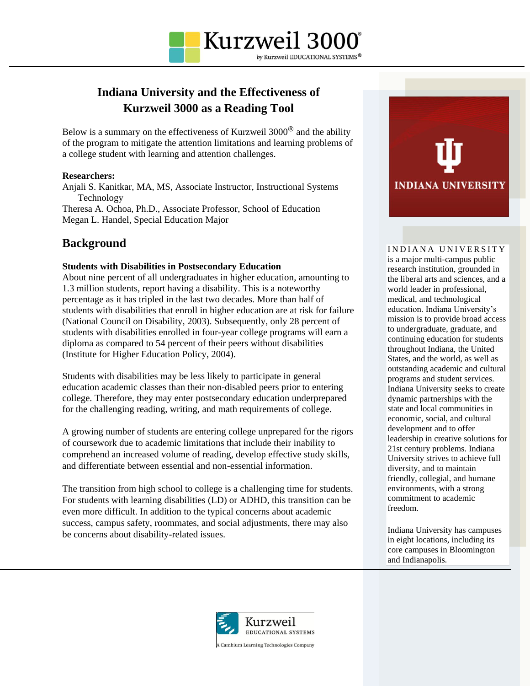

# **Indiana University and the Effectiveness of Kurzweil 3000 as a Reading Tool**

Below is a summary on the effectiveness of Kurzweil 3000® and the ability of the program to mitigate the attention limitations and learning problems of a college student with learning and attention challenges.

# **Researchers:**

Anjali S. Kanitkar, MA, MS, Associate Instructor, Instructional Systems Technology Theresa A. Ochoa, Ph.D., Associate Professor, School of Education Megan L. Handel, Special Education Major

# **Background**

# **Students with Disabilities in Postsecondary Education**

About nine percent of all undergraduates in higher education, amounting to 1.3 million students, report having a disability. This is a noteworthy percentage as it has tripled in the last two decades. More than half of students with disabilities that enroll in higher education are at risk for failure (National Council on Disability, 2003). Subsequently, only 28 percent of students with disabilities enrolled in four-year college programs will earn a diploma as compared to 54 percent of their peers without disabilities (Institute for Higher Education Policy, 2004).

Students with disabilities may be less likely to participate in general education academic classes than their non-disabled peers prior to entering college. Therefore, they may enter postsecondary education underprepared for the challenging reading, writing, and math requirements of college.

A growing number of students are entering college unprepared for the rigors of coursework due to academic limitations that include their inability to comprehend an increased volume of reading, develop effective study skills, and differentiate between essential and non-essential information.

The transition from high school to college is a challenging time for students. For students with learning disabilities (LD) or ADHD, this transition can be even more difficult. In addition to the typical concerns about academic success, campus safety, roommates, and social adjustments, there may also be concerns about disability-related issues.



#### INDIANA UNIVERSITY

is a major multi-campus public research institution, grounded in the liberal arts and sciences, and a world leader in professional, medical, and technological education. Indiana University's mission is to provide broad access to undergraduate, graduate, and continuing education for students throughout Indiana, the United States, and the world, as well as outstanding academic and cultural programs and student services. Indiana University seeks to create dynamic partnerships with the state and local communities in economic, social, and cultural development and to offer leadership in creative solutions for 21st century problems. Indiana University strives to achieve full diversity, and to maintain friendly, collegial, and humane environments, with a strong commitment to academic freedom.

Indiana University has campuses in eight locations, including its core campuses in Bloomington and Indianapolis.